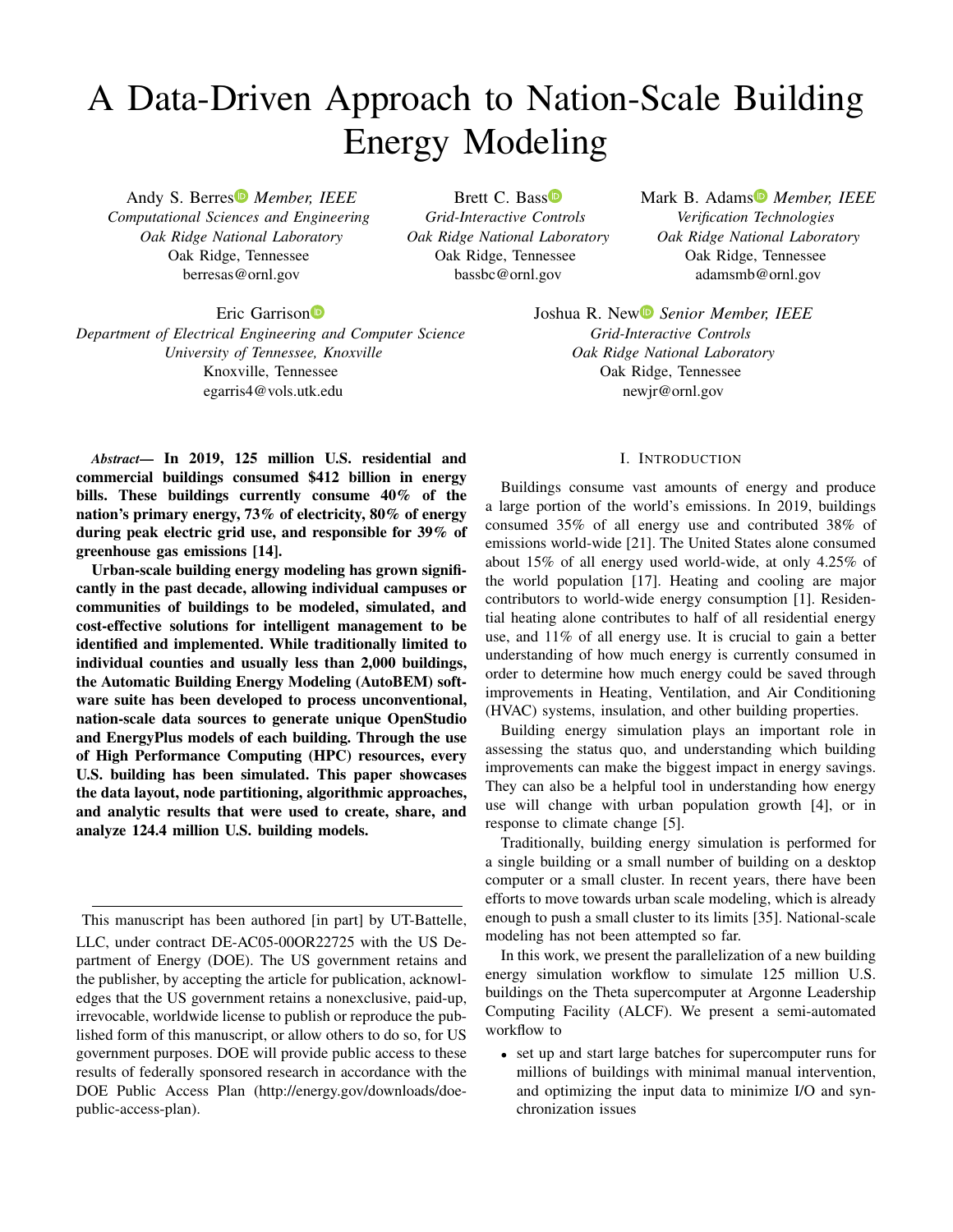# A Data-Driven Approach to Nation-Scale Building Energy Modeling

Andy S. Berres *Member, IEEE Computational Sciences and Engineering Oak Ridge National Laboratory* Oak Ridge, Tennessee berresas@ornl.gov

Brett C. Bass<sup>D</sup> *Grid-Interactive Controls Oak Ridge National Laboratory* Oak Ridge, Tennessee bassbc@ornl.gov

Mark B. Adams *Member, IEEE Verification Technologies Oak Ridge National Laboratory* Oak Ridge, Tennessee adamsmb@ornl.gov

Eric Garrison<sup>D</sup>

*Department of Electrical Engineering and Computer Science University of Tennessee, Knoxville* Knoxville, Tennessee egarris4@vols.utk.edu

*Abstract*— In 2019, 125 million U.S. residential and commercial buildings consumed \$412 billion in energy bills. These buildings currently consume 40% of the nation's primary energy, 73% of electricity, 80% of energy during peak electric grid use, and responsible for 39% of greenhouse gas emissions [14].

Urban-scale building energy modeling has grown significantly in the past decade, allowing individual campuses or communities of buildings to be modeled, simulated, and cost-effective solutions for intelligent management to be identified and implemented. While traditionally limited to individual counties and usually less than 2,000 buildings, the Automatic Building Energy Modeling (AutoBEM) software suite has been developed to process unconventional, nation-scale data sources to generate unique OpenStudio and EnergyPlus models of each building. Through the use of High Performance Computing (HPC) resources, every U.S. building has been simulated. This paper showcases the data layout, node partitioning, algorithmic approaches, and analytic results that were used to create, share, and analyze 124.4 million U.S. building models.

Joshua R. New *Senior Member, IEEE Grid-Interactive Controls Oak Ridge National Laboratory* Oak Ridge, Tennessee newjr@ornl.gov

## I. INTRODUCTION

Buildings consume vast amounts of energy and produce a large portion of the world's emissions. In 2019, buildings consumed 35% of all energy use and contributed 38% of emissions world-wide [21]. The United States alone consumed about 15% of all energy used world-wide, at only 4.25% of the world population [17]. Heating and cooling are major contributors to world-wide energy consumption [1]. Residential heating alone contributes to half of all residential energy use, and 11% of all energy use. It is crucial to gain a better understanding of how much energy is currently consumed in order to determine how much energy could be saved through improvements in Heating, Ventilation, and Air Conditioning (HVAC) systems, insulation, and other building properties.

Building energy simulation plays an important role in assessing the status quo, and understanding which building improvements can make the biggest impact in energy savings. They can also be a helpful tool in understanding how energy use will change with urban population growth [4], or in response to climate change [5].

Traditionally, building energy simulation is performed for a single building or a small number of building on a desktop computer or a small cluster. In recent years, there have been efforts to move towards urban scale modeling, which is already enough to push a small cluster to its limits [35]. National-scale modeling has not been attempted so far.

In this work, we present the parallelization of a new building energy simulation workflow to simulate 125 million U.S. buildings on the Theta supercomputer at Argonne Leadership Computing Facility (ALCF). We present a semi-automated workflow to

• set up and start large batches for supercomputer runs for millions of buildings with minimal manual intervention, and optimizing the input data to minimize I/O and synchronization issues

This manuscript has been authored [in part] by UT-Battelle, LLC, under contract DE-AC05-00OR22725 with the US Department of Energy (DOE). The US government retains and the publisher, by accepting the article for publication, acknowledges that the US government retains a nonexclusive, paid-up, irrevocable, worldwide license to publish or reproduce the published form of this manuscript, or allow others to do so, for US government purposes. DOE will provide public access to these results of federally sponsored research in accordance with the DOE Public Access Plan (http://energy.gov/downloads/doepublic-access-plan).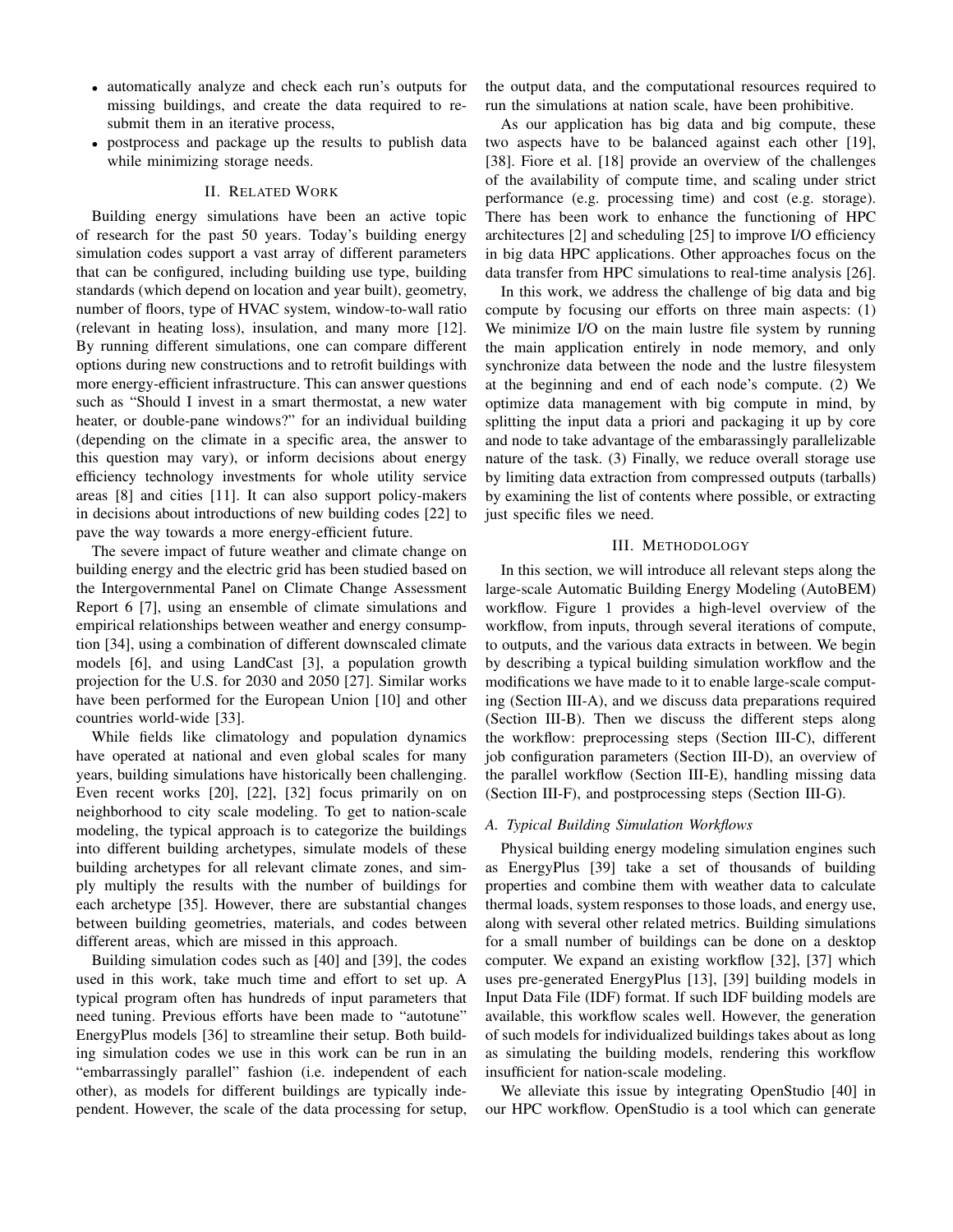- automatically analyze and check each run's outputs for missing buildings, and create the data required to resubmit them in an iterative process,
- postprocess and package up the results to publish data while minimizing storage needs.

## II. RELATED WORK

Building energy simulations have been an active topic of research for the past 50 years. Today's building energy simulation codes support a vast array of different parameters that can be configured, including building use type, building standards (which depend on location and year built), geometry, number of floors, type of HVAC system, window-to-wall ratio (relevant in heating loss), insulation, and many more [12]. By running different simulations, one can compare different options during new constructions and to retrofit buildings with more energy-efficient infrastructure. This can answer questions such as "Should I invest in a smart thermostat, a new water heater, or double-pane windows?" for an individual building (depending on the climate in a specific area, the answer to this question may vary), or inform decisions about energy efficiency technology investments for whole utility service areas [8] and cities [11]. It can also support policy-makers in decisions about introductions of new building codes [22] to pave the way towards a more energy-efficient future.

The severe impact of future weather and climate change on building energy and the electric grid has been studied based on the Intergovernmental Panel on Climate Change Assessment Report 6 [7], using an ensemble of climate simulations and empirical relationships between weather and energy consumption [34], using a combination of different downscaled climate models [6], and using LandCast [3], a population growth projection for the U.S. for 2030 and 2050 [27]. Similar works have been performed for the European Union [10] and other countries world-wide [33].

While fields like climatology and population dynamics have operated at national and even global scales for many years, building simulations have historically been challenging. Even recent works [20], [22], [32] focus primarily on on neighborhood to city scale modeling. To get to nation-scale modeling, the typical approach is to categorize the buildings into different building archetypes, simulate models of these building archetypes for all relevant climate zones, and simply multiply the results with the number of buildings for each archetype [35]. However, there are substantial changes between building geometries, materials, and codes between different areas, which are missed in this approach.

Building simulation codes such as [40] and [39], the codes used in this work, take much time and effort to set up. A typical program often has hundreds of input parameters that need tuning. Previous efforts have been made to "autotune" EnergyPlus models [36] to streamline their setup. Both building simulation codes we use in this work can be run in an "embarrassingly parallel" fashion (i.e. independent of each other), as models for different buildings are typically independent. However, the scale of the data processing for setup,

the output data, and the computational resources required to run the simulations at nation scale, have been prohibitive.

As our application has big data and big compute, these two aspects have to be balanced against each other [19], [38]. Fiore et al. [18] provide an overview of the challenges of the availability of compute time, and scaling under strict performance (e.g. processing time) and cost (e.g. storage). There has been work to enhance the functioning of HPC architectures [2] and scheduling [25] to improve I/O efficiency in big data HPC applications. Other approaches focus on the data transfer from HPC simulations to real-time analysis [26].

In this work, we address the challenge of big data and big compute by focusing our efforts on three main aspects: (1) We minimize I/O on the main lustre file system by running the main application entirely in node memory, and only synchronize data between the node and the lustre filesystem at the beginning and end of each node's compute. (2) We optimize data management with big compute in mind, by splitting the input data a priori and packaging it up by core and node to take advantage of the embarassingly parallelizable nature of the task. (3) Finally, we reduce overall storage use by limiting data extraction from compressed outputs (tarballs) by examining the list of contents where possible, or extracting just specific files we need.

#### III. METHODOLOGY

In this section, we will introduce all relevant steps along the large-scale Automatic Building Energy Modeling (AutoBEM) workflow. Figure 1 provides a high-level overview of the workflow, from inputs, through several iterations of compute, to outputs, and the various data extracts in between. We begin by describing a typical building simulation workflow and the modifications we have made to it to enable large-scale computing (Section III-A), and we discuss data preparations required (Section III-B). Then we discuss the different steps along the workflow: preprocessing steps (Section III-C), different job configuration parameters (Section III-D), an overview of the parallel workflow (Section III-E), handling missing data (Section III-F), and postprocessing steps (Section III-G).

#### *A. Typical Building Simulation Workflows*

Physical building energy modeling simulation engines such as EnergyPlus [39] take a set of thousands of building properties and combine them with weather data to calculate thermal loads, system responses to those loads, and energy use, along with several other related metrics. Building simulations for a small number of buildings can be done on a desktop computer. We expand an existing workflow [32], [37] which uses pre-generated EnergyPlus [13], [39] building models in Input Data File (IDF) format. If such IDF building models are available, this workflow scales well. However, the generation of such models for individualized buildings takes about as long as simulating the building models, rendering this workflow insufficient for nation-scale modeling.

We alleviate this issue by integrating OpenStudio [40] in our HPC workflow. OpenStudio is a tool which can generate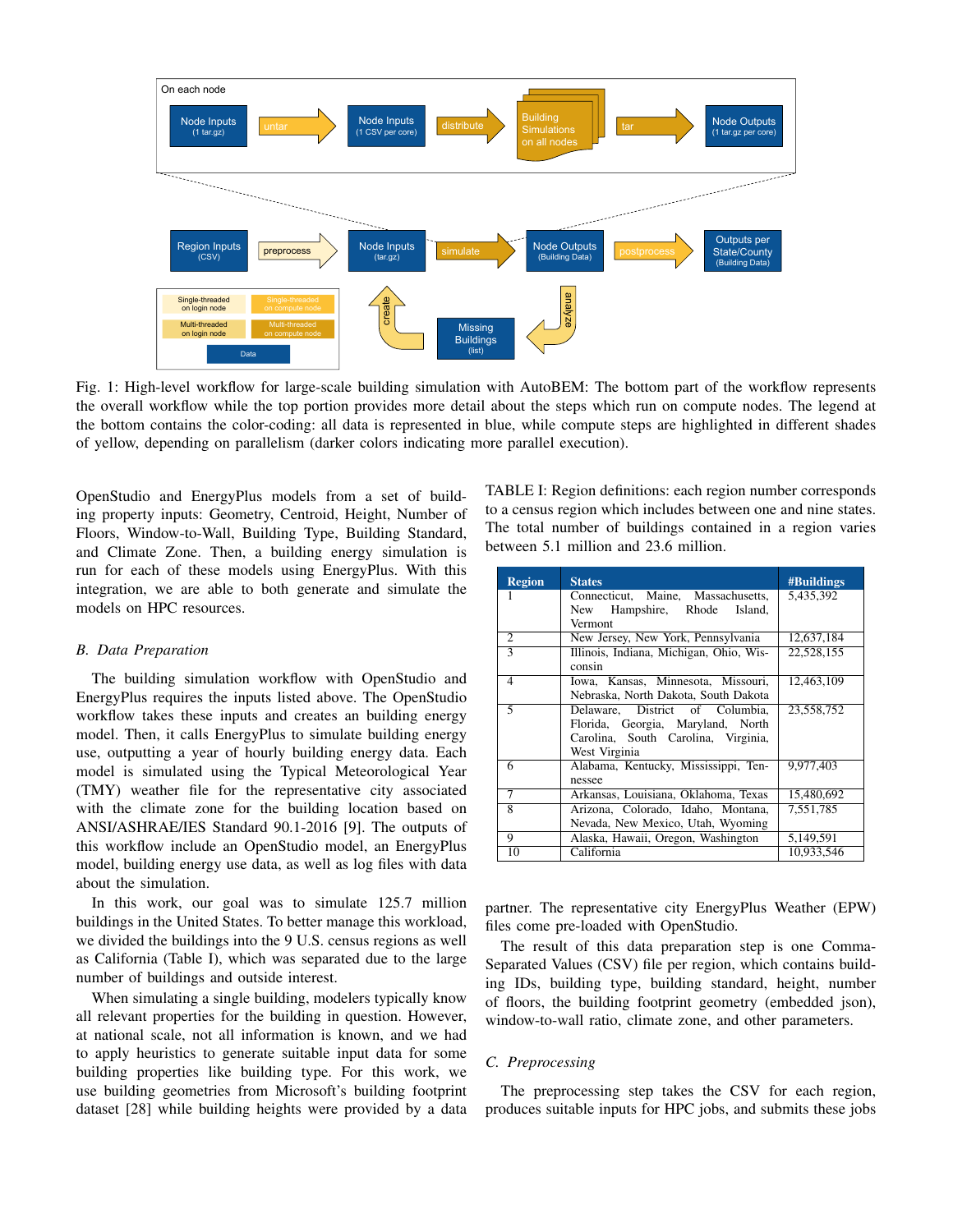

Fig. 1: High-level workflow for large-scale building simulation with AutoBEM: The bottom part of the workflow represents the overall workflow while the top portion provides more detail about the steps which run on compute nodes. The legend at the bottom contains the color-coding: all data is represented in blue, while compute steps are highlighted in different shades of yellow, depending on parallelism (darker colors indicating more parallel execution).

OpenStudio and EnergyPlus models from a set of building property inputs: Geometry, Centroid, Height, Number of Floors, Window-to-Wall, Building Type, Building Standard, and Climate Zone. Then, a building energy simulation is run for each of these models using EnergyPlus. With this integration, we are able to both generate and simulate the models on HPC resources.

## *B. Data Preparation*

The building simulation workflow with OpenStudio and EnergyPlus requires the inputs listed above. The OpenStudio workflow takes these inputs and creates an building energy model. Then, it calls EnergyPlus to simulate building energy use, outputting a year of hourly building energy data. Each model is simulated using the Typical Meteorological Year (TMY) weather file for the representative city associated with the climate zone for the building location based on ANSI/ASHRAE/IES Standard 90.1-2016 [9]. The outputs of this workflow include an OpenStudio model, an EnergyPlus model, building energy use data, as well as log files with data about the simulation.

In this work, our goal was to simulate 125.7 million buildings in the United States. To better manage this workload, we divided the buildings into the 9 U.S. census regions as well as California (Table I), which was separated due to the large number of buildings and outside interest.

When simulating a single building, modelers typically know all relevant properties for the building in question. However, at national scale, not all information is known, and we had to apply heuristics to generate suitable input data for some building properties like building type. For this work, we use building geometries from Microsoft's building footprint dataset [28] while building heights were provided by a data TABLE I: Region definitions: each region number corresponds to a census region which includes between one and nine states. The total number of buildings contained in a region varies between 5.1 million and 23.6 million.

| <b>Region</b>               | <b>States</b>                           | <b>#Buildings</b> |
|-----------------------------|-----------------------------------------|-------------------|
|                             | Connecticut, Maine, Massachusetts,      | 5,435,392         |
|                             | New Hampshire, Rhode<br>Island.         |                   |
|                             | Vermont                                 |                   |
| $\mathcal{D}_{\mathcal{L}}$ | New Jersey, New York, Pennsylvania      | 12,637,184        |
| $\overline{\mathcal{E}}$    | Illinois, Indiana, Michigan, Ohio, Wis- | 22.528.155        |
|                             | consin                                  |                   |
| 4                           | Iowa, Kansas, Minnesota, Missouri,      | 12,463,109        |
|                             | Nebraska, North Dakota, South Dakota    |                   |
| 5                           | Delaware, District of Columbia,         | 23,558,752        |
|                             | Florida, Georgia, Maryland, North       |                   |
|                             | Carolina, South Carolina, Virginia,     |                   |
|                             | West Virginia                           |                   |
| 6                           | Alabama, Kentucky, Mississippi, Ten-    | 9.977.403         |
|                             | nessee                                  |                   |
| 7                           | Arkansas, Louisiana, Oklahoma, Texas    | 15,480,692        |
| 8                           | Arizona, Colorado, Idaho, Montana,      | 7,551,785         |
|                             | Nevada, New Mexico, Utah, Wyoming       |                   |
| 9                           | Alaska, Hawaii, Oregon, Washington      | 5,149,591         |
| 10                          | California                              | 10.933.546        |

partner. The representative city EnergyPlus Weather (EPW) files come pre-loaded with OpenStudio.

The result of this data preparation step is one Comma-Separated Values (CSV) file per region, which contains building IDs, building type, building standard, height, number of floors, the building footprint geometry (embedded json), window-to-wall ratio, climate zone, and other parameters.

# *C. Preprocessing*

The preprocessing step takes the CSV for each region, produces suitable inputs for HPC jobs, and submits these jobs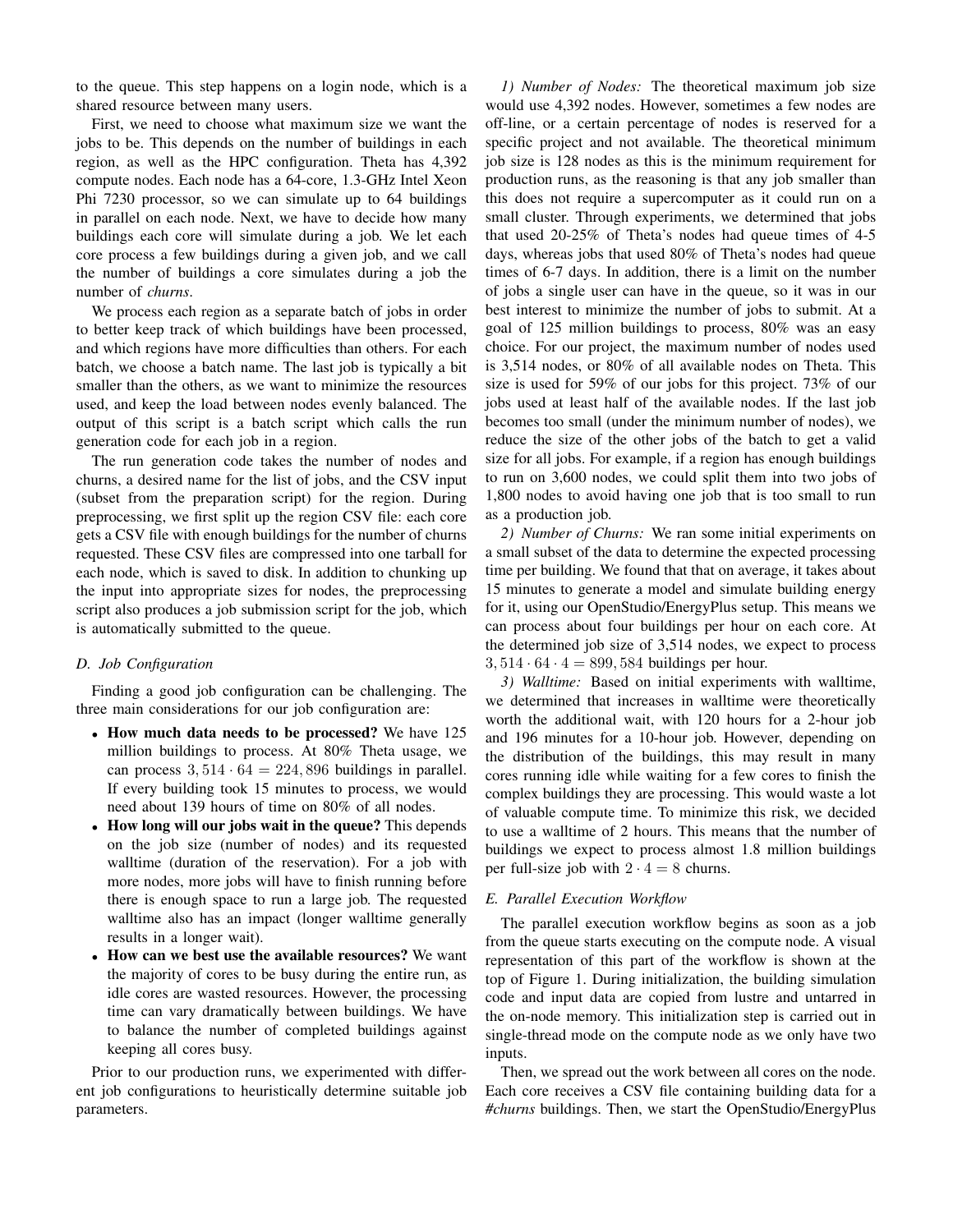to the queue. This step happens on a login node, which is a shared resource between many users.

First, we need to choose what maximum size we want the jobs to be. This depends on the number of buildings in each region, as well as the HPC configuration. Theta has 4,392 compute nodes. Each node has a 64-core, 1.3-GHz Intel Xeon Phi 7230 processor, so we can simulate up to 64 buildings in parallel on each node. Next, we have to decide how many buildings each core will simulate during a job. We let each core process a few buildings during a given job, and we call the number of buildings a core simulates during a job the number of *churns*.

We process each region as a separate batch of jobs in order to better keep track of which buildings have been processed, and which regions have more difficulties than others. For each batch, we choose a batch name. The last job is typically a bit smaller than the others, as we want to minimize the resources used, and keep the load between nodes evenly balanced. The output of this script is a batch script which calls the run generation code for each job in a region.

The run generation code takes the number of nodes and churns, a desired name for the list of jobs, and the CSV input (subset from the preparation script) for the region. During preprocessing, we first split up the region CSV file: each core gets a CSV file with enough buildings for the number of churns requested. These CSV files are compressed into one tarball for each node, which is saved to disk. In addition to chunking up the input into appropriate sizes for nodes, the preprocessing script also produces a job submission script for the job, which is automatically submitted to the queue.

# *D. Job Configuration*

Finding a good job configuration can be challenging. The three main considerations for our job configuration are:

- How much data needs to be processed? We have 125 million buildings to process. At 80% Theta usage, we can process  $3,514 \cdot 64 = 224,896$  buildings in parallel. If every building took 15 minutes to process, we would need about 139 hours of time on 80% of all nodes.
- How long will our jobs wait in the queue? This depends on the job size (number of nodes) and its requested walltime (duration of the reservation). For a job with more nodes, more jobs will have to finish running before there is enough space to run a large job. The requested walltime also has an impact (longer walltime generally results in a longer wait).
- How can we best use the available resources? We want the majority of cores to be busy during the entire run, as idle cores are wasted resources. However, the processing time can vary dramatically between buildings. We have to balance the number of completed buildings against keeping all cores busy.

Prior to our production runs, we experimented with different job configurations to heuristically determine suitable job parameters.

*1) Number of Nodes:* The theoretical maximum job size would use 4,392 nodes. However, sometimes a few nodes are off-line, or a certain percentage of nodes is reserved for a specific project and not available. The theoretical minimum job size is 128 nodes as this is the minimum requirement for production runs, as the reasoning is that any job smaller than this does not require a supercomputer as it could run on a small cluster. Through experiments, we determined that jobs that used 20-25% of Theta's nodes had queue times of 4-5 days, whereas jobs that used 80% of Theta's nodes had queue times of 6-7 days. In addition, there is a limit on the number of jobs a single user can have in the queue, so it was in our best interest to minimize the number of jobs to submit. At a goal of 125 million buildings to process, 80% was an easy choice. For our project, the maximum number of nodes used is 3,514 nodes, or 80% of all available nodes on Theta. This size is used for 59% of our jobs for this project. 73% of our jobs used at least half of the available nodes. If the last job becomes too small (under the minimum number of nodes), we reduce the size of the other jobs of the batch to get a valid size for all jobs. For example, if a region has enough buildings to run on 3,600 nodes, we could split them into two jobs of 1,800 nodes to avoid having one job that is too small to run as a production job.

*2) Number of Churns:* We ran some initial experiments on a small subset of the data to determine the expected processing time per building. We found that that on average, it takes about 15 minutes to generate a model and simulate building energy for it, using our OpenStudio/EnergyPlus setup. This means we can process about four buildings per hour on each core. At the determined job size of 3,514 nodes, we expect to process  $3,514 \cdot 64 \cdot 4 = 899,584$  buildings per hour.

*3) Walltime:* Based on initial experiments with walltime, we determined that increases in walltime were theoretically worth the additional wait, with 120 hours for a 2-hour job and 196 minutes for a 10-hour job. However, depending on the distribution of the buildings, this may result in many cores running idle while waiting for a few cores to finish the complex buildings they are processing. This would waste a lot of valuable compute time. To minimize this risk, we decided to use a walltime of 2 hours. This means that the number of buildings we expect to process almost 1.8 million buildings per full-size job with  $2 \cdot 4 = 8$  churns.

# *E. Parallel Execution Workflow*

The parallel execution workflow begins as soon as a job from the queue starts executing on the compute node. A visual representation of this part of the workflow is shown at the top of Figure 1. During initialization, the building simulation code and input data are copied from lustre and untarred in the on-node memory. This initialization step is carried out in single-thread mode on the compute node as we only have two inputs.

Then, we spread out the work between all cores on the node. Each core receives a CSV file containing building data for a *#churns* buildings. Then, we start the OpenStudio/EnergyPlus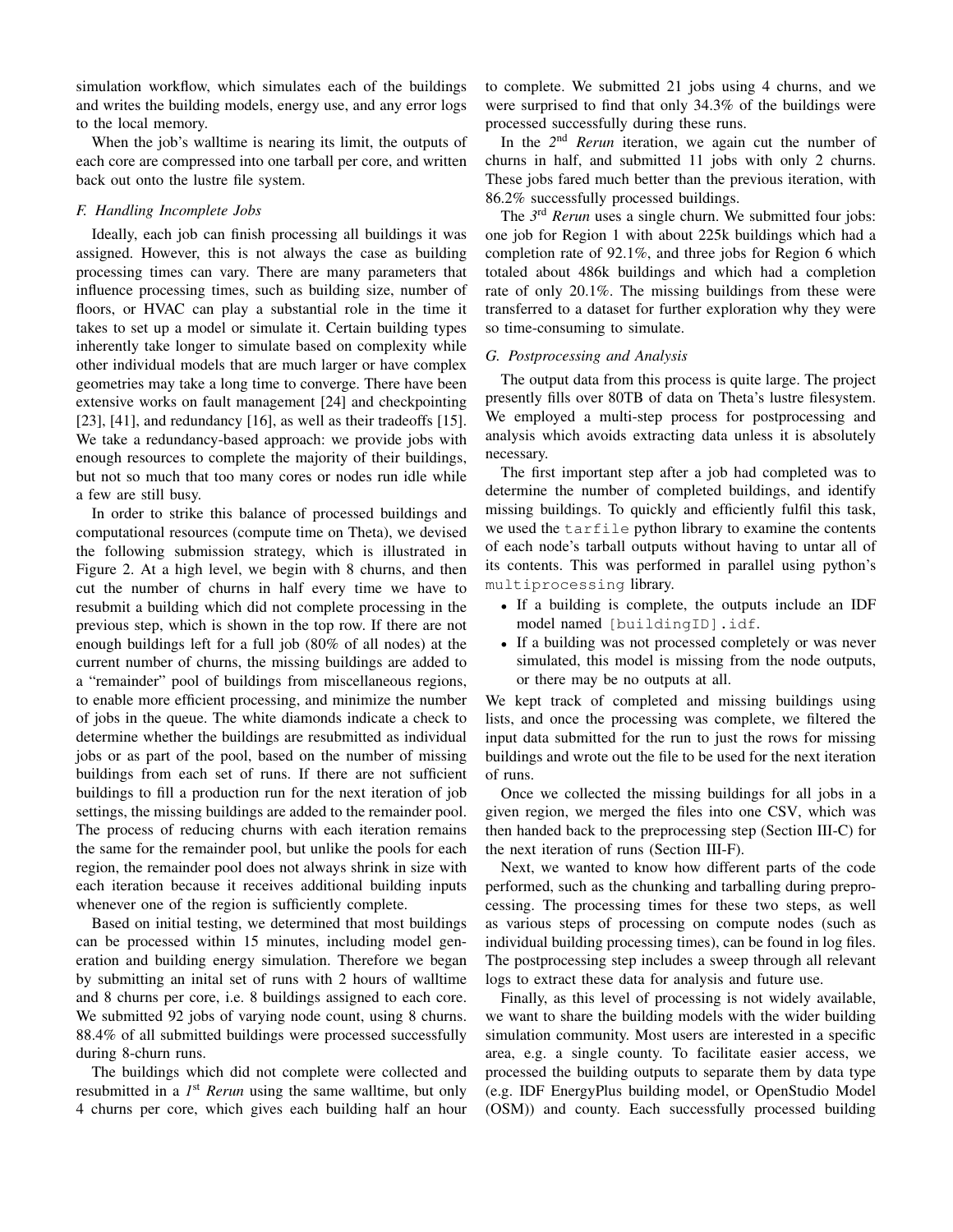simulation workflow, which simulates each of the buildings and writes the building models, energy use, and any error logs to the local memory.

When the job's walltime is nearing its limit, the outputs of each core are compressed into one tarball per core, and written back out onto the lustre file system.

### *F. Handling Incomplete Jobs*

Ideally, each job can finish processing all buildings it was assigned. However, this is not always the case as building processing times can vary. There are many parameters that influence processing times, such as building size, number of floors, or HVAC can play a substantial role in the time it takes to set up a model or simulate it. Certain building types inherently take longer to simulate based on complexity while other individual models that are much larger or have complex geometries may take a long time to converge. There have been extensive works on fault management [24] and checkpointing [23], [41], and redundancy [16], as well as their tradeoffs [15]. We take a redundancy-based approach: we provide jobs with enough resources to complete the majority of their buildings, but not so much that too many cores or nodes run idle while a few are still busy.

In order to strike this balance of processed buildings and computational resources (compute time on Theta), we devised the following submission strategy, which is illustrated in Figure 2. At a high level, we begin with 8 churns, and then cut the number of churns in half every time we have to resubmit a building which did not complete processing in the previous step, which is shown in the top row. If there are not enough buildings left for a full job (80% of all nodes) at the current number of churns, the missing buildings are added to a "remainder" pool of buildings from miscellaneous regions, to enable more efficient processing, and minimize the number of jobs in the queue. The white diamonds indicate a check to determine whether the buildings are resubmitted as individual jobs or as part of the pool, based on the number of missing buildings from each set of runs. If there are not sufficient buildings to fill a production run for the next iteration of job settings, the missing buildings are added to the remainder pool. The process of reducing churns with each iteration remains the same for the remainder pool, but unlike the pools for each region, the remainder pool does not always shrink in size with each iteration because it receives additional building inputs whenever one of the region is sufficiently complete.

Based on initial testing, we determined that most buildings can be processed within 15 minutes, including model generation and building energy simulation. Therefore we began by submitting an inital set of runs with 2 hours of walltime and 8 churns per core, i.e. 8 buildings assigned to each core. We submitted 92 jobs of varying node count, using 8 churns. 88.4% of all submitted buildings were processed successfully during 8-churn runs.

The buildings which did not complete were collected and resubmitted in a 1<sup>st</sup> Rerun using the same walltime, but only 4 churns per core, which gives each building half an hour to complete. We submitted 21 jobs using 4 churns, and we were surprised to find that only 34.3% of the buildings were processed successfully during these runs.

In the 2<sup>nd</sup> *Rerun* iteration, we again cut the number of churns in half, and submitted 11 jobs with only 2 churns. These jobs fared much better than the previous iteration, with 86.2% successfully processed buildings.

The 3<sup>rd</sup> *Rerun* uses a single churn. We submitted four jobs: one job for Region 1 with about 225k buildings which had a completion rate of 92.1%, and three jobs for Region 6 which totaled about 486k buildings and which had a completion rate of only 20.1%. The missing buildings from these were transferred to a dataset for further exploration why they were so time-consuming to simulate.

## *G. Postprocessing and Analysis*

The output data from this process is quite large. The project presently fills over 80TB of data on Theta's lustre filesystem. We employed a multi-step process for postprocessing and analysis which avoids extracting data unless it is absolutely necessary.

The first important step after a job had completed was to determine the number of completed buildings, and identify missing buildings. To quickly and efficiently fulfil this task, we used the tarfile python library to examine the contents of each node's tarball outputs without having to untar all of its contents. This was performed in parallel using python's multiprocessing library.

- If a building is complete, the outputs include an IDF model named [buildingID].idf.
- If a building was not processed completely or was never simulated, this model is missing from the node outputs, or there may be no outputs at all.

We kept track of completed and missing buildings using lists, and once the processing was complete, we filtered the input data submitted for the run to just the rows for missing buildings and wrote out the file to be used for the next iteration of runs.

Once we collected the missing buildings for all jobs in a given region, we merged the files into one CSV, which was then handed back to the preprocessing step (Section III-C) for the next iteration of runs (Section III-F).

Next, we wanted to know how different parts of the code performed, such as the chunking and tarballing during preprocessing. The processing times for these two steps, as well as various steps of processing on compute nodes (such as individual building processing times), can be found in log files. The postprocessing step includes a sweep through all relevant logs to extract these data for analysis and future use.

Finally, as this level of processing is not widely available, we want to share the building models with the wider building simulation community. Most users are interested in a specific area, e.g. a single county. To facilitate easier access, we processed the building outputs to separate them by data type (e.g. IDF EnergyPlus building model, or OpenStudio Model (OSM)) and county. Each successfully processed building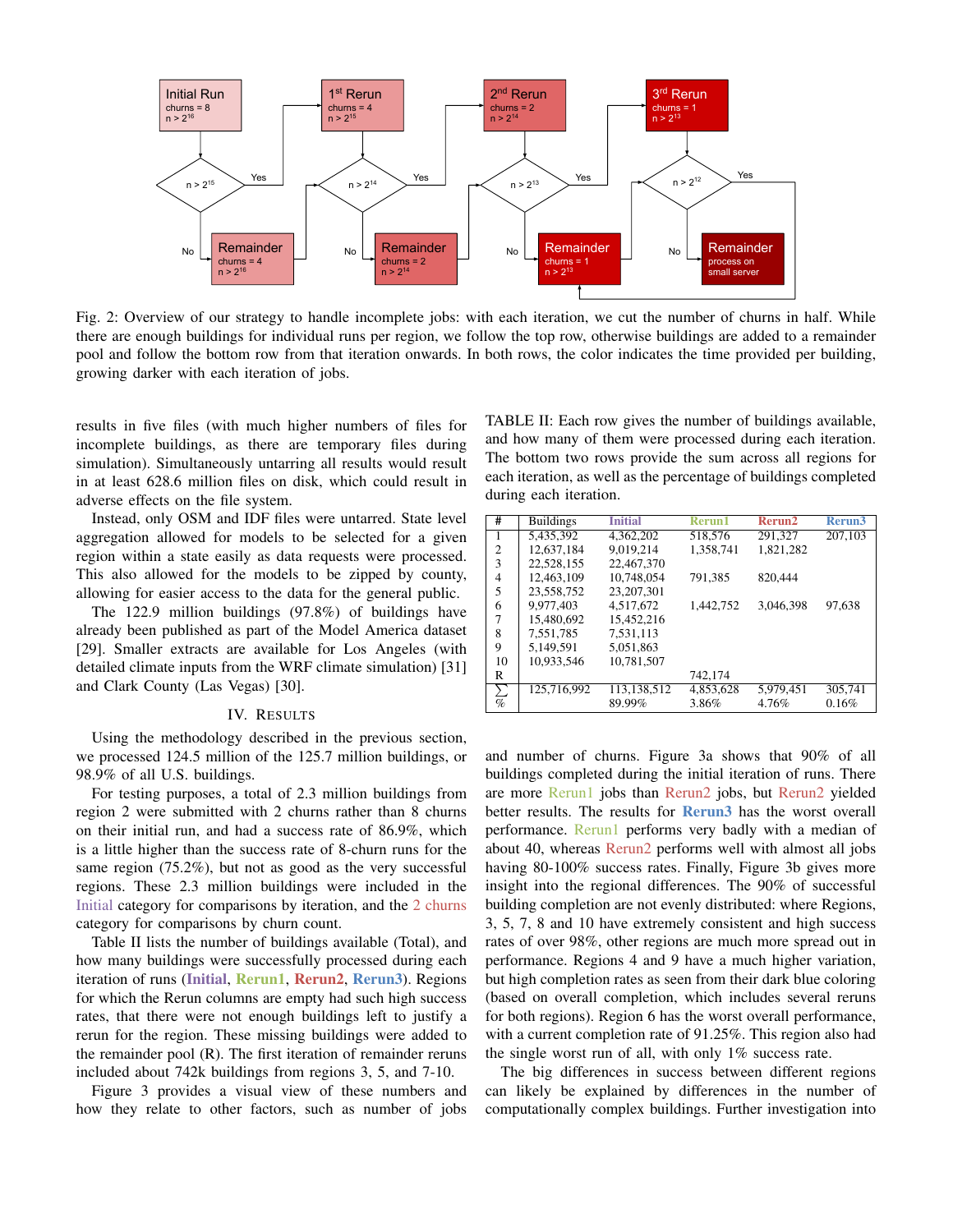

Fig. 2: Overview of our strategy to handle incomplete jobs: with each iteration, we cut the number of churns in half. While there are enough buildings for individual runs per region, we follow the top row, otherwise buildings are added to a remainder pool and follow the bottom row from that iteration onwards. In both rows, the color indicates the time provided per building, growing darker with each iteration of jobs.

results in five files (with much higher numbers of files for incomplete buildings, as there are temporary files during simulation). Simultaneously untarring all results would result in at least 628.6 million files on disk, which could result in adverse effects on the file system.

Instead, only OSM and IDF files were untarred. State level aggregation allowed for models to be selected for a given region within a state easily as data requests were processed. This also allowed for the models to be zipped by county, allowing for easier access to the data for the general public.

The 122.9 million buildings (97.8%) of buildings have already been published as part of the Model America dataset [29]. Smaller extracts are available for Los Angeles (with detailed climate inputs from the WRF climate simulation) [31] and Clark County (Las Vegas) [30].

#### IV. RESULTS

Using the methodology described in the previous section, we processed 124.5 million of the 125.7 million buildings, or 98.9% of all U.S. buildings.

For testing purposes, a total of 2.3 million buildings from region 2 were submitted with 2 churns rather than 8 churns on their initial run, and had a success rate of 86.9%, which is a little higher than the success rate of 8-churn runs for the same region (75.2%), but not as good as the very successful regions. These 2.3 million buildings were included in the Initial category for comparisons by iteration, and the 2 churns category for comparisons by churn count.

Table II lists the number of buildings available (Total), and how many buildings were successfully processed during each iteration of runs (Initial, Rerun1, Rerun2, Rerun3). Regions for which the Rerun columns are empty had such high success rates, that there were not enough buildings left to justify a rerun for the region. These missing buildings were added to the remainder pool (R). The first iteration of remainder reruns included about 742k buildings from regions 3, 5, and 7-10.

Figure 3 provides a visual view of these numbers and how they relate to other factors, such as number of jobs TABLE II: Each row gives the number of buildings available, and how many of them were processed during each iteration. The bottom two rows provide the sum across all regions for each iteration, as well as the percentage of buildings completed during each iteration.

| #                        | <b>Buildings</b> | <b>Initial</b> | Rerun1    | Rerun2    | Rerun <sub>3</sub> |
|--------------------------|------------------|----------------|-----------|-----------|--------------------|
| 1                        | 5,435,392        | 4,362,202      | 518,576   | 291,327   | 207,103            |
| 2                        | 12.637.184       | 9.019.214      | 1.358.741 | 1.821.282 |                    |
| 3                        | 22.528.155       | 22,467,370     |           |           |                    |
| $\overline{4}$           | 12.463.109       | 10,748,054     | 791.385   | 820,444   |                    |
| 5                        | 23.558.752       | 23,207,301     |           |           |                    |
| 6                        | 9.977.403        | 4.517.672      | 1.442.752 | 3.046.398 | 97,638             |
| 7                        | 15.480,692       | 15.452.216     |           |           |                    |
| 8                        | 7.551.785        | 7.531.113      |           |           |                    |
| 9                        | 5.149.591        | 5.051.863      |           |           |                    |
| 10                       | 10.933.546       | 10.781.507     |           |           |                    |
| R                        |                  |                | 742,174   |           |                    |
| Σ                        | 125,716,992      | 113,138,512    | 4,853,628 | 5,979,451 | 305,741            |
| $\overline{\mathcal{C}}$ |                  | 89.99%         | 3.86%     | 4.76%     | 0.16%              |

and number of churns. Figure 3a shows that 90% of all buildings completed during the initial iteration of runs. There are more Rerun1 jobs than Rerun2 jobs, but Rerun2 yielded better results. The results for **Rerun3** has the worst overall performance. Rerun1 performs very badly with a median of about 40, whereas Rerun2 performs well with almost all jobs having 80-100% success rates. Finally, Figure 3b gives more insight into the regional differences. The 90% of successful building completion are not evenly distributed: where Regions, 3, 5, 7, 8 and 10 have extremely consistent and high success rates of over 98%, other regions are much more spread out in performance. Regions 4 and 9 have a much higher variation, but high completion rates as seen from their dark blue coloring (based on overall completion, which includes several reruns for both regions). Region 6 has the worst overall performance, with a current completion rate of 91.25%. This region also had the single worst run of all, with only 1% success rate.

The big differences in success between different regions can likely be explained by differences in the number of computationally complex buildings. Further investigation into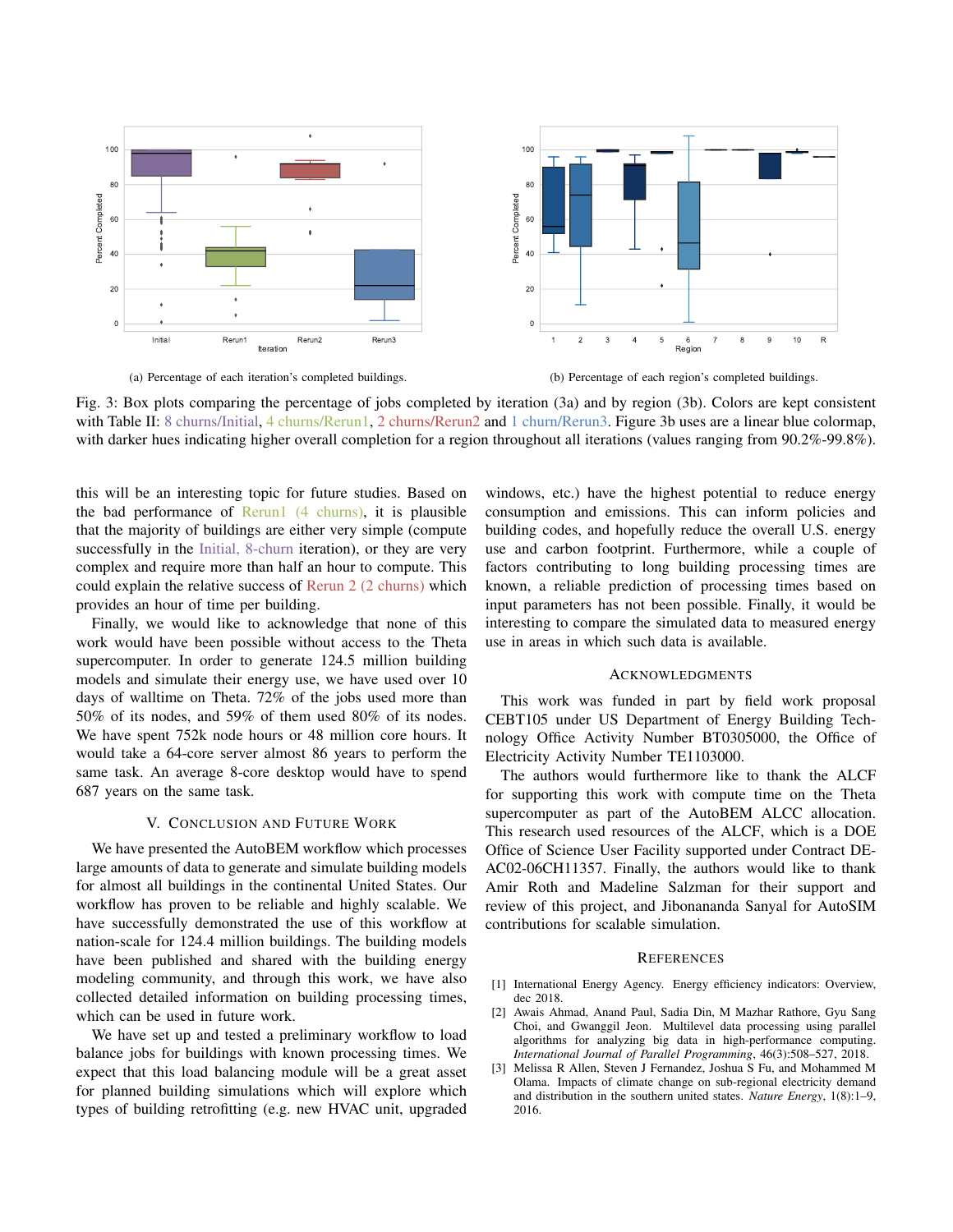

Fig. 3: Box plots comparing the percentage of jobs completed by iteration (3a) and by region (3b). Colors are kept consistent with Table II: 8 churns/Initial, 4 churns/Rerun1, 2 churns/Rerun2 and 1 churn/Rerun3. Figure 3b uses are a linear blue colormap, with darker hues indicating higher overall completion for a region throughout all iterations (values ranging from 90.2%-99.8%).

this will be an interesting topic for future studies. Based on the bad performance of  $Rerun1$  (4 churns), it is plausible that the majority of buildings are either very simple (compute successfully in the Initial, 8-churn iteration), or they are very complex and require more than half an hour to compute. This could explain the relative success of Rerun 2 (2 churns) which provides an hour of time per building.

Finally, we would like to acknowledge that none of this work would have been possible without access to the Theta supercomputer. In order to generate 124.5 million building models and simulate their energy use, we have used over 10 days of walltime on Theta. 72% of the jobs used more than 50% of its nodes, and 59% of them used 80% of its nodes. We have spent 752k node hours or 48 million core hours. It would take a 64-core server almost 86 years to perform the same task. An average 8-core desktop would have to spend 687 years on the same task.

## V. CONCLUSION AND FUTURE WORK

We have presented the AutoBEM workflow which processes large amounts of data to generate and simulate building models for almost all buildings in the continental United States. Our workflow has proven to be reliable and highly scalable. We have successfully demonstrated the use of this workflow at nation-scale for 124.4 million buildings. The building models have been published and shared with the building energy modeling community, and through this work, we have also collected detailed information on building processing times, which can be used in future work.

We have set up and tested a preliminary workflow to load balance jobs for buildings with known processing times. We expect that this load balancing module will be a great asset for planned building simulations which will explore which types of building retrofitting (e.g. new HVAC unit, upgraded windows, etc.) have the highest potential to reduce energy consumption and emissions. This can inform policies and building codes, and hopefully reduce the overall U.S. energy use and carbon footprint. Furthermore, while a couple of factors contributing to long building processing times are known, a reliable prediction of processing times based on input parameters has not been possible. Finally, it would be interesting to compare the simulated data to measured energy use in areas in which such data is available.

# ACKNOWLEDGMENTS

This work was funded in part by field work proposal CEBT105 under US Department of Energy Building Technology Office Activity Number BT0305000, the Office of Electricity Activity Number TE1103000.

The authors would furthermore like to thank the ALCF for supporting this work with compute time on the Theta supercomputer as part of the AutoBEM ALCC allocation. This research used resources of the ALCF, which is a DOE Office of Science User Facility supported under Contract DE-AC02-06CH11357. Finally, the authors would like to thank Amir Roth and Madeline Salzman for their support and review of this project, and Jibonananda Sanyal for AutoSIM contributions for scalable simulation.

### **REFERENCES**

- [1] International Energy Agency. Energy efficiency indicators: Overview, dec 2018.
- [2] Awais Ahmad, Anand Paul, Sadia Din, M Mazhar Rathore, Gyu Sang Choi, and Gwanggil Jeon. Multilevel data processing using parallel algorithms for analyzing big data in high-performance computing. *International Journal of Parallel Programming*, 46(3):508–527, 2018.
- [3] Melissa R Allen, Steven J Fernandez, Joshua S Fu, and Mohammed M Olama. Impacts of climate change on sub-regional electricity demand and distribution in the southern united states. *Nature Energy*, 1(8):1–9, 2016.